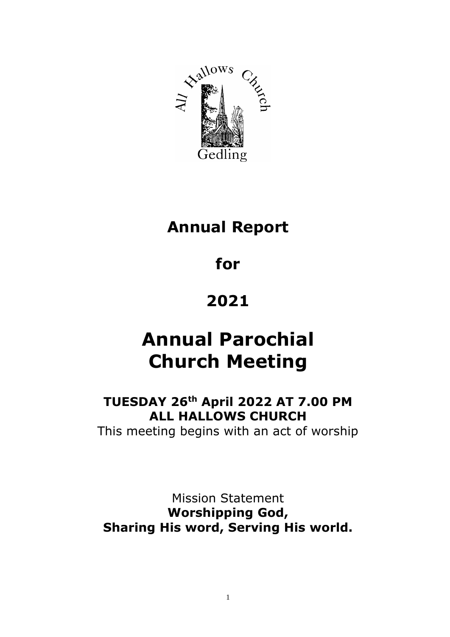

# **Annual Report**

# **for**

# **2021**

# **Annual Parochial Church Meeting**

# **TUESDAY 26th April 2022 AT 7.00 PM ALL HALLOWS CHURCH**

This meeting begins with an act of worship

Mission Statement **Worshipping God, Sharing His word, Serving His world.**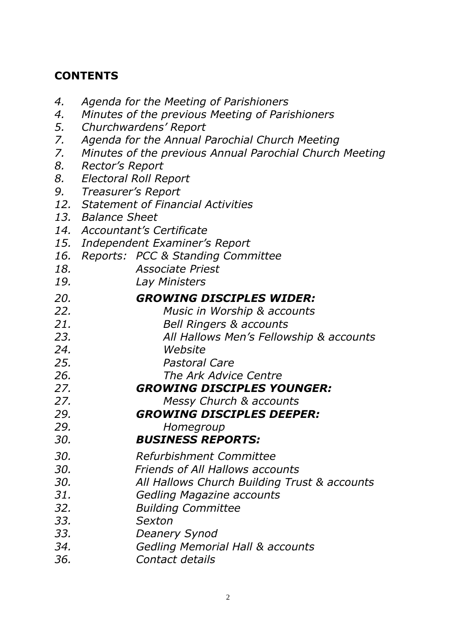# **CONTENTS**

| 4.  | Agenda for the Meeting of Parishioners                  |
|-----|---------------------------------------------------------|
| 4.  | Minutes of the previous Meeting of Parishioners         |
| 5.  | Churchwardens' Report                                   |
| 7.  | Agenda for the Annual Parochial Church Meeting          |
| 7.  | Minutes of the previous Annual Parochial Church Meeting |
| 8.  | Rector's Report                                         |
| 8.  | <b>Electoral Roll Report</b>                            |
| 9.  | Treasurer's Report                                      |
|     | 12. Statement of Financial Activities                   |
|     | 13. Balance Sheet                                       |
|     | 14. Accountant's Certificate                            |
|     | 15. Independent Examiner's Report                       |
| 16. | Reports: PCC & Standing Committee                       |
| 18. | <b>Associate Priest</b>                                 |
| 19. | Lay Ministers                                           |
| 20. | <b>GROWING DISCIPLES WIDER:</b>                         |
| 22. | Music in Worship & accounts                             |
| 21. | <b>Bell Ringers &amp; accounts</b>                      |
| 23. | All Hallows Men's Fellowship & accounts                 |
| 24. | Website                                                 |
| 25. | <b>Pastoral Care</b>                                    |
| 26. | The Ark Advice Centre                                   |
| 27. | <b>GROWING DISCIPLES YOUNGER:</b>                       |
| 27. | Messy Church & accounts                                 |
| 29. | <b>GROWING DISCIPLES DEEPER:</b>                        |
| 29. | Homegroup                                               |
| 30. | <b>BUSINESS REPORTS:</b>                                |
| 30. | Refurbishment Committee                                 |
| 30. | <b>Friends of All Hallows accounts</b>                  |
| 30. | All Hallows Church Building Trust & accounts            |
| 31. | <b>Gedling Magazine accounts</b>                        |
| 32. | <b>Building Committee</b>                               |
| 33. | Sexton                                                  |
| 33. | <b>Deanery Synod</b>                                    |
| 34. | Gedling Memorial Hall & accounts                        |
| 36. | Contact details                                         |
|     |                                                         |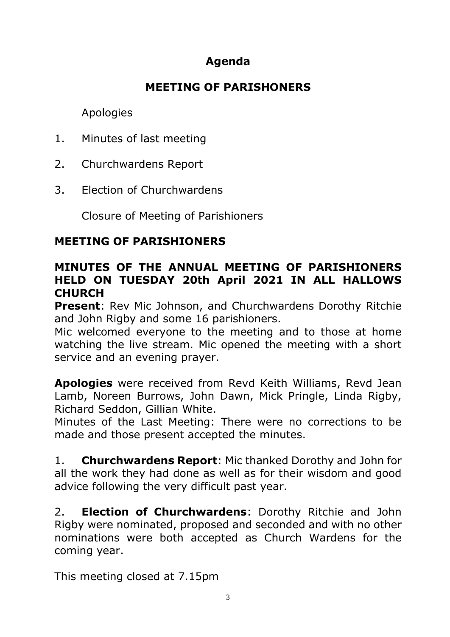# **Agenda**

# **MEETING OF PARISHONERS**

## Apologies

- 1. Minutes of last meeting
- 2. Churchwardens Report
- 3. Election of Churchwardens

Closure of Meeting of Parishioners

# **MEETING OF PARISHIONERS**

### **MINUTES OF THE ANNUAL MEETING OF PARISHIONERS HELD ON TUESDAY 20th April 2021 IN ALL HALLOWS CHURCH**

**Present**: Rev Mic Johnson, and Churchwardens Dorothy Ritchie and John Rigby and some 16 parishioners.

Mic welcomed everyone to the meeting and to those at home watching the live stream. Mic opened the meeting with a short service and an evening prayer.

**Apologies** were received from Revd Keith Williams, Revd Jean Lamb, Noreen Burrows, John Dawn, Mick Pringle, Linda Rigby, Richard Seddon, Gillian White.

Minutes of the Last Meeting: There were no corrections to be made and those present accepted the minutes.

1. **Churchwardens Report**: Mic thanked Dorothy and John for all the work they had done as well as for their wisdom and good advice following the very difficult past year.

2. **Election of Churchwardens**: Dorothy Ritchie and John Rigby were nominated, proposed and seconded and with no other nominations were both accepted as Church Wardens for the coming year.

This meeting closed at 7.15pm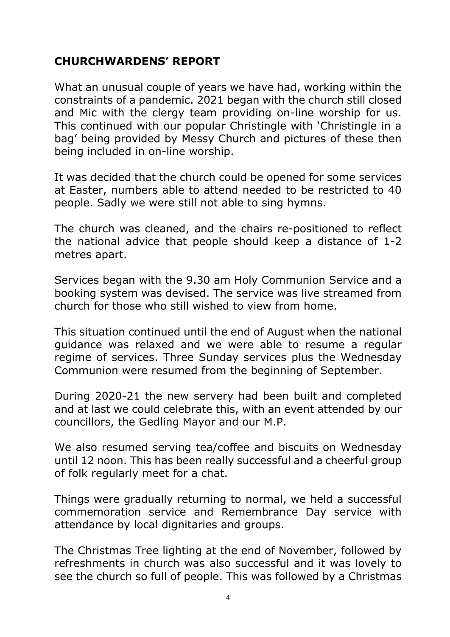# **CHURCHWARDENS' REPORT**

What an unusual couple of years we have had, working within the constraints of a pandemic. 2021 began with the church still closed and Mic with the clergy team providing on-line worship for us. This continued with our popular Christingle with 'Christingle in a bag' being provided by Messy Church and pictures of these then being included in on-line worship.

It was decided that the church could be opened for some services at Easter, numbers able to attend needed to be restricted to 40 people. Sadly we were still not able to sing hymns.

The church was cleaned, and the chairs re-positioned to reflect the national advice that people should keep a distance of 1-2 metres apart.

Services began with the 9.30 am Holy Communion Service and a booking system was devised. The service was live streamed from church for those who still wished to view from home.

This situation continued until the end of August when the national guidance was relaxed and we were able to resume a regular regime of services. Three Sunday services plus the Wednesday Communion were resumed from the beginning of September.

During 2020-21 the new servery had been built and completed and at last we could celebrate this, with an event attended by our councillors, the Gedling Mayor and our M.P.

We also resumed serving tea/coffee and biscuits on Wednesday until 12 noon. This has been really successful and a cheerful group of folk regularly meet for a chat.

Things were gradually returning to normal, we held a successful commemoration service and Remembrance Day service with attendance by local dignitaries and groups.

The Christmas Tree lighting at the end of November, followed by refreshments in church was also successful and it was lovely to see the church so full of people. This was followed by a Christmas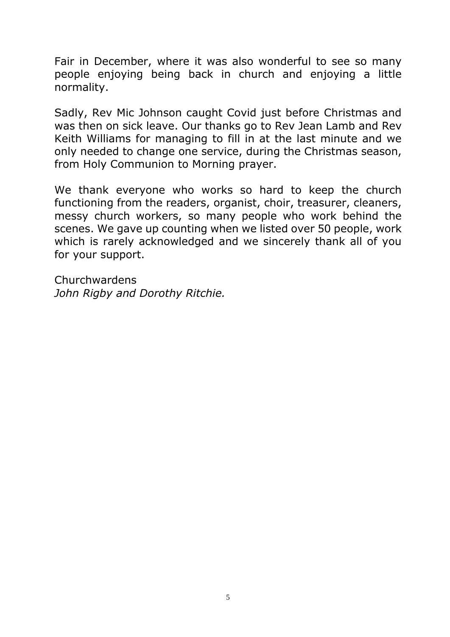Fair in December, where it was also wonderful to see so many people enjoying being back in church and enjoying a little normality.

Sadly, Rev Mic Johnson caught Covid just before Christmas and was then on sick leave. Our thanks go to Rev Jean Lamb and Rev Keith Williams for managing to fill in at the last minute and we only needed to change one service, during the Christmas season, from Holy Communion to Morning prayer.

We thank everyone who works so hard to keep the church functioning from the readers, organist, choir, treasurer, cleaners, messy church workers, so many people who work behind the scenes. We gave up counting when we listed over 50 people, work which is rarely acknowledged and we sincerely thank all of you for your support.

Churchwardens *John Rigby and Dorothy Ritchie.*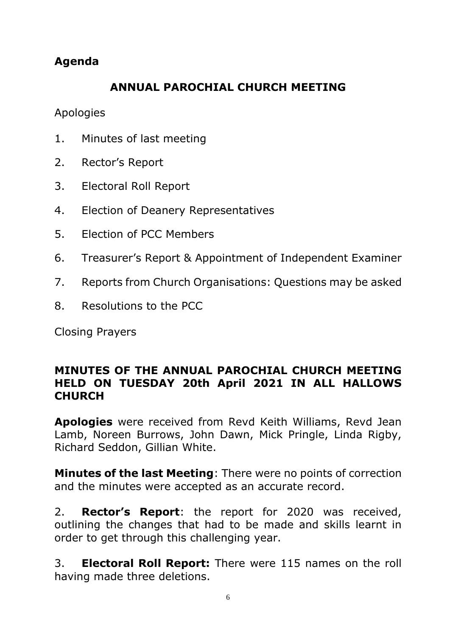# **Agenda**

# **ANNUAL PAROCHIAL CHURCH MEETING**

Apologies

- 1. Minutes of last meeting
- 2. Rector's Report
- 3. Electoral Roll Report
- 4. Election of Deanery Representatives
- 5. Election of PCC Members
- 6. Treasurer's Report & Appointment of Independent Examiner
- 7. Reports from Church Organisations: Questions may be asked
- 8. Resolutions to the PCC

Closing Prayers

### **MINUTES OF THE ANNUAL PAROCHIAL CHURCH MEETING HELD ON TUESDAY 20th April 2021 IN ALL HALLOWS CHURCH**

**Apologies** were received from Revd Keith Williams, Revd Jean Lamb, Noreen Burrows, John Dawn, Mick Pringle, Linda Rigby, Richard Seddon, Gillian White.

**Minutes of the last Meeting**: There were no points of correction and the minutes were accepted as an accurate record.

2. **Rector's Report**: the report for 2020 was received, outlining the changes that had to be made and skills learnt in order to get through this challenging year.

3. **Electoral Roll Report:** There were 115 names on the roll having made three deletions.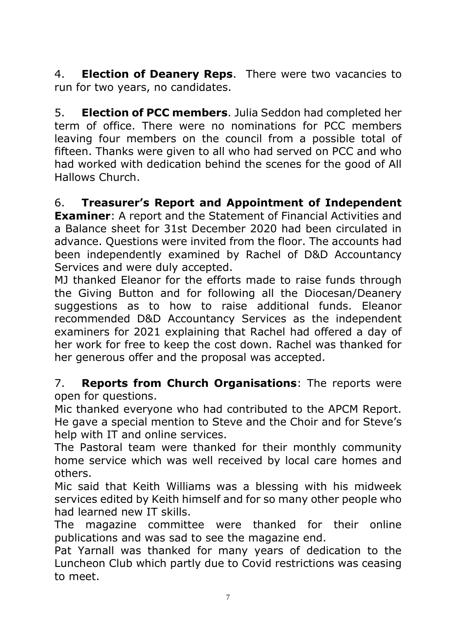4. **Election of Deanery Reps**. There were two vacancies to run for two years, no candidates.

5. **Election of PCC members**. Julia Seddon had completed her term of office. There were no nominations for PCC members leaving four members on the council from a possible total of fifteen. Thanks were given to all who had served on PCC and who had worked with dedication behind the scenes for the good of All Hallows Church.

6. **Treasurer's Report and Appointment of Independent Examiner**: A report and the Statement of Financial Activities and a Balance sheet for 31st December 2020 had been circulated in advance. Questions were invited from the floor. The accounts had been independently examined by Rachel of D&D Accountancy Services and were duly accepted.

MJ thanked Eleanor for the efforts made to raise funds through the Giving Button and for following all the Diocesan/Deanery suggestions as to how to raise additional funds. Eleanor recommended D&D Accountancy Services as the independent examiners for 2021 explaining that Rachel had offered a day of her work for free to keep the cost down. Rachel was thanked for her generous offer and the proposal was accepted.

7. **Reports from Church Organisations**: The reports were open for questions.

Mic thanked everyone who had contributed to the APCM Report. He gave a special mention to Steve and the Choir and for Steve's help with IT and online services.

The Pastoral team were thanked for their monthly community home service which was well received by local care homes and others.

Mic said that Keith Williams was a blessing with his midweek services edited by Keith himself and for so many other people who had learned new IT skills.

The magazine committee were thanked for their online publications and was sad to see the magazine end.

Pat Yarnall was thanked for many years of dedication to the Luncheon Club which partly due to Covid restrictions was ceasing to meet.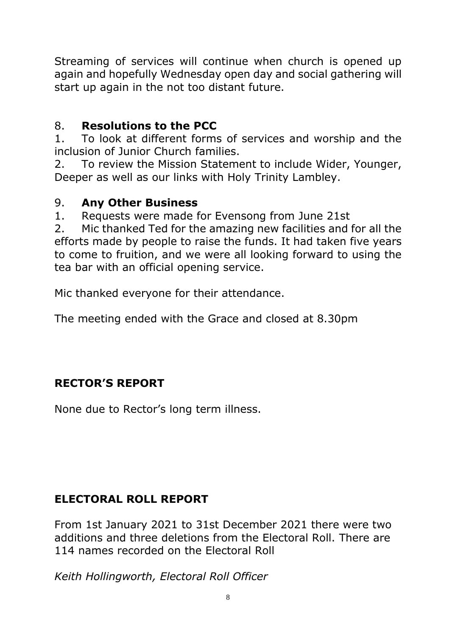Streaming of services will continue when church is opened up again and hopefully Wednesday open day and social gathering will start up again in the not too distant future.

# 8. **Resolutions to the PCC**

1. To look at different forms of services and worship and the inclusion of Junior Church families.

2. To review the Mission Statement to include Wider, Younger, Deeper as well as our links with Holy Trinity Lambley.

### 9. **Any Other Business**

1. Requests were made for Evensong from June 21st

2. Mic thanked Ted for the amazing new facilities and for all the efforts made by people to raise the funds. It had taken five years to come to fruition, and we were all looking forward to using the tea bar with an official opening service.

Mic thanked everyone for their attendance.

The meeting ended with the Grace and closed at 8.30pm

# **RECTOR'S REPORT**

None due to Rector's long term illness.

# **ELECTORAL ROLL REPORT**

From 1st January 2021 to 31st December 2021 there were two additions and three deletions from the Electoral Roll. There are 114 names recorded on the Electoral Roll

*Keith Hollingworth, Electoral Roll Officer*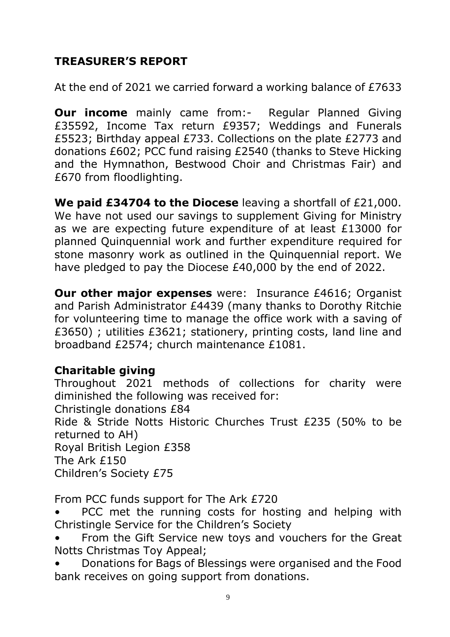# **TREASURER'S REPORT**

At the end of 2021 we carried forward a working balance of £7633

**Our income** mainly came from:- Regular Planned Giving £35592, Income Tax return £9357; Weddings and Funerals £5523; Birthday appeal £733. Collections on the plate £2773 and donations £602; PCC fund raising £2540 (thanks to Steve Hicking and the Hymnathon, Bestwood Choir and Christmas Fair) and £670 from floodlighting.

**We paid £34704 to the Diocese** leaving a shortfall of £21,000. We have not used our savings to supplement Giving for Ministry as we are expecting future expenditure of at least £13000 for planned Quinquennial work and further expenditure required for stone masonry work as outlined in the Quinquennial report. We have pledged to pay the Diocese £40,000 by the end of 2022.

**Our other major expenses** were: Insurance £4616; Organist and Parish Administrator £4439 (many thanks to Dorothy Ritchie for volunteering time to manage the office work with a saving of £3650) ; utilities £3621; stationery, printing costs, land line and broadband £2574; church maintenance £1081.

# **Charitable giving**

Throughout 2021 methods of collections for charity were diminished the following was received for:

Christingle donations £84

Ride & Stride Notts Historic Churches Trust £235 (50% to be returned to AH)

Royal British Legion £358 The Ark £150

Children's Society £75

From PCC funds support for The Ark £720

PCC met the running costs for hosting and helping with Christingle Service for the Children's Society

From the Gift Service new toys and vouchers for the Great Notts Christmas Toy Appeal;

• Donations for Bags of Blessings were organised and the Food bank receives on going support from donations.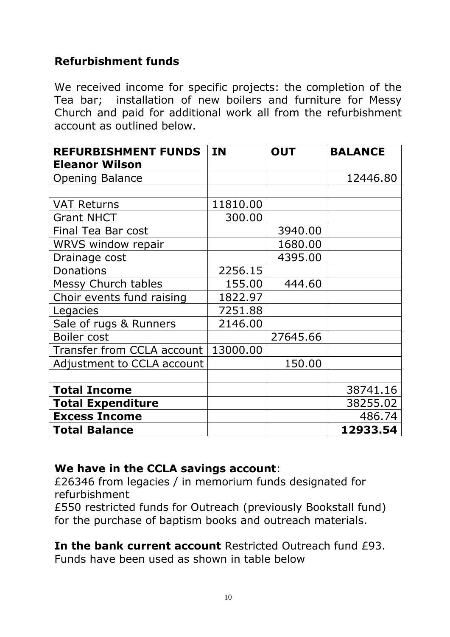# **Refurbishment funds**

We received income for specific projects: the completion of the Tea bar; installation of new boilers and furniture for Messy Church and paid for additional work all from the refurbishment account as outlined below.

| <b>REFURBISHMENT FUNDS</b> | <b>IN</b> | <b>OUT</b> | <b>BALANCE</b> |
|----------------------------|-----------|------------|----------------|
| <b>Eleanor Wilson</b>      |           |            |                |
| <b>Opening Balance</b>     |           |            | 12446.80       |
|                            |           |            |                |
| <b>VAT Returns</b>         | 11810.00  |            |                |
| <b>Grant NHCT</b>          | 300.00    |            |                |
| Final Tea Bar cost         |           | 3940.00    |                |
| <b>WRVS window repair</b>  |           | 1680.00    |                |
| Drainage cost              |           | 4395.00    |                |
| Donations                  | 2256.15   |            |                |
| <b>Messy Church tables</b> | 155.00    | 444.60     |                |
| Choir events fund raising  | 1822.97   |            |                |
| Legacies                   | 7251.88   |            |                |
| Sale of rugs & Runners     | 2146.00   |            |                |
| Boiler cost                |           | 27645.66   |                |
| Transfer from CCLA account | 13000.00  |            |                |
| Adjustment to CCLA account |           | 150.00     |                |
|                            |           |            |                |
| <b>Total Income</b>        |           |            | 38741.16       |
| <b>Total Expenditure</b>   |           |            | 38255.02       |
| <b>Excess Income</b>       |           |            | 486.74         |
| <b>Total Balance</b>       |           |            | 12933.54       |

# **We have in the CCLA savings account**:

£26346 from legacies / in memorium funds designated for refurbishment

£550 restricted funds for Outreach (previously Bookstall fund) for the purchase of baptism books and outreach materials.

**In the bank current account** Restricted Outreach fund £93. Funds have been used as shown in table below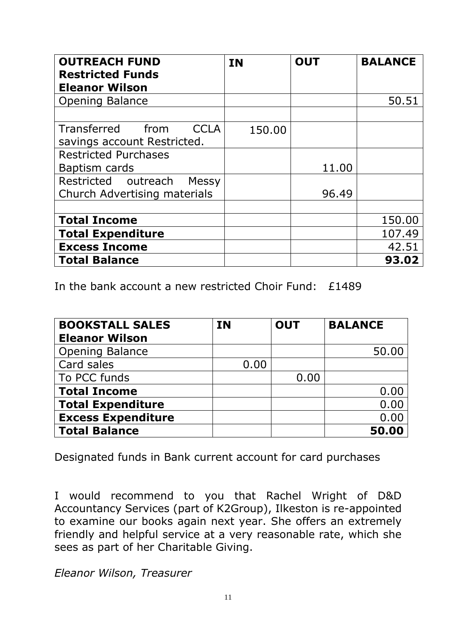| <b>OUTREACH FUND</b><br><b>Restricted Funds</b><br><b>Eleanor Wilson</b> | <b>IN</b> | <b>OUT</b> | <b>BALANCE</b>  |
|--------------------------------------------------------------------------|-----------|------------|-----------------|
| <b>Opening Balance</b>                                                   |           |            | 50.51           |
| Transferred<br>from<br>CCI A<br>savings account Restricted.              | 150.00    |            |                 |
| <b>Restricted Purchases</b><br>Baptism cards                             |           | 11.00      |                 |
| Restricted outreach<br><b>Messy</b><br>Church Advertising materials      |           | 96.49      |                 |
| <b>Total Income</b>                                                      |           |            | 150.00          |
| <b>Total Expenditure</b><br><b>Excess Income</b>                         |           |            | 107.49<br>42.51 |
| <b>Total Balance</b>                                                     |           |            | 93.02           |

In the bank account a new restricted Choir Fund: £1489

| <b>BOOKSTALL SALES</b>    | <b>IN</b> | <b>OUT</b> | <b>BALANCE</b> |
|---------------------------|-----------|------------|----------------|
| <b>Eleanor Wilson</b>     |           |            |                |
| <b>Opening Balance</b>    |           |            | 50.00          |
| Card sales                | 0.00      |            |                |
| To PCC funds              |           | 0.00       |                |
| <b>Total Income</b>       |           |            | 0.00           |
| <b>Total Expenditure</b>  |           |            | 0.00           |
| <b>Excess Expenditure</b> |           |            | 0.00           |
| <b>Total Balance</b>      |           |            | 50.00          |

Designated funds in Bank current account for card purchases

I would recommend to you that Rachel Wright of D&D Accountancy Services (part of K2Group), Ilkeston is re-appointed to examine our books again next year. She offers an extremely friendly and helpful service at a very reasonable rate, which she sees as part of her Charitable Giving.

*Eleanor Wilson, Treasurer*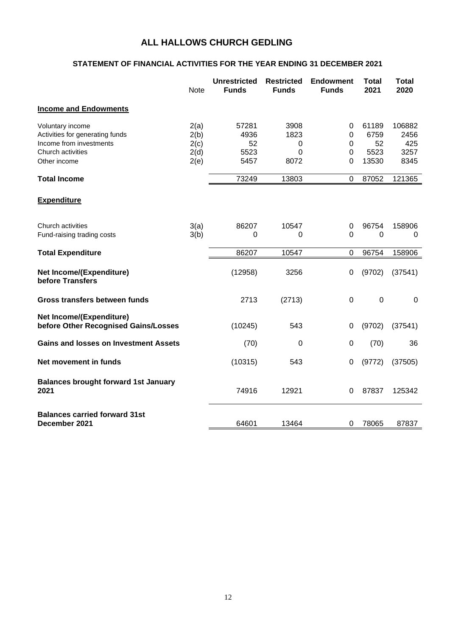#### **ALL HALLOWS CHURCH GEDLING**

#### **STATEMENT OF FINANCIAL ACTIVITIES FOR THE YEAR ENDING 31 DECEMBER 2021**

|                                                                                                                     | <b>Note</b>                          | <b>Unrestricted</b><br><b>Funds</b> | <b>Restricted</b><br><b>Funds</b> | <b>Endowment</b><br><b>Funds</b> | <b>Total</b><br>2021                 | <b>Total</b><br>2020                  |
|---------------------------------------------------------------------------------------------------------------------|--------------------------------------|-------------------------------------|-----------------------------------|----------------------------------|--------------------------------------|---------------------------------------|
| <b>Income and Endowments</b>                                                                                        |                                      |                                     |                                   |                                  |                                      |                                       |
| Voluntary income<br>Activities for generating funds<br>Income from investments<br>Church activities<br>Other income | 2(a)<br>2(b)<br>2(c)<br>2(d)<br>2(e) | 57281<br>4936<br>52<br>5523<br>5457 | 3908<br>1823<br>0<br>0<br>8072    | 0<br>0<br>0<br>0<br>0            | 61189<br>6759<br>52<br>5523<br>13530 | 106882<br>2456<br>425<br>3257<br>8345 |
| <b>Total Income</b>                                                                                                 |                                      | 73249                               | 13803                             | 0                                | 87052                                | 121365                                |
| <b>Expenditure</b>                                                                                                  |                                      |                                     |                                   |                                  |                                      |                                       |
| Church activities<br>Fund-raising trading costs                                                                     | 3(a)<br>3(b)                         | 86207<br>0                          | 10547<br>0                        | 0<br>0                           | 96754<br>0                           | 158906<br>0                           |
| <b>Total Expenditure</b>                                                                                            |                                      | 86207                               | 10547                             | 0                                | 96754                                | 158906                                |
| <b>Net Income/(Expenditure)</b><br>before Transfers                                                                 |                                      | (12958)                             | 3256                              | 0                                | (9702)                               | (37541)                               |
| Gross transfers between funds                                                                                       |                                      | 2713                                | (2713)                            | 0                                | $\mathbf 0$                          | 0                                     |
| <b>Net Income/(Expenditure)</b><br>before Other Recognised Gains/Losses                                             |                                      | (10245)                             | 543                               | 0                                | (9702)                               | (37541)                               |
| <b>Gains and losses on Investment Assets</b>                                                                        |                                      | (70)                                | 0                                 | 0                                | (70)                                 | 36                                    |
| Net movement in funds                                                                                               |                                      | (10315)                             | 543                               | 0                                | (9772)                               | (37505)                               |
| <b>Balances brought forward 1st January</b><br>2021                                                                 |                                      | 74916                               | 12921                             | 0                                | 87837                                | 125342                                |
| <b>Balances carried forward 31st</b><br>December 2021                                                               |                                      | 64601                               | 13464                             | 0                                | 78065                                | 87837                                 |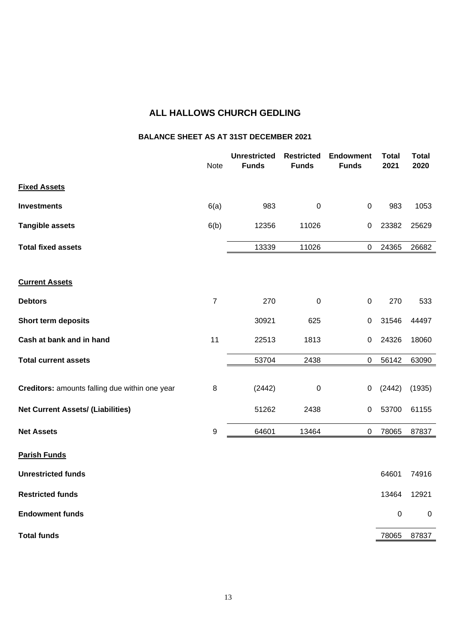#### **ALL HALLOWS CHURCH GEDLING**

#### **BALANCE SHEET AS AT 31ST DECEMBER 2021**

|                                                | Note           | <b>Unrestricted</b><br><b>Funds</b> | <b>Restricted</b><br><b>Funds</b> | <b>Endowment</b><br><b>Funds</b> | <b>Total</b><br>2021 | <b>Total</b><br>2020 |
|------------------------------------------------|----------------|-------------------------------------|-----------------------------------|----------------------------------|----------------------|----------------------|
| <b>Fixed Assets</b>                            |                |                                     |                                   |                                  |                      |                      |
| <b>Investments</b>                             | 6(a)           | 983                                 | $\pmb{0}$                         | $\mathbf 0$                      | 983                  | 1053                 |
| <b>Tangible assets</b>                         | 6(b)           | 12356                               | 11026                             | 0                                | 23382                | 25629                |
| <b>Total fixed assets</b>                      |                | 13339                               | 11026                             | $\pmb{0}$                        | 24365                | 26682                |
| <b>Current Assets</b>                          |                |                                     |                                   |                                  |                      |                      |
| <b>Debtors</b>                                 | $\overline{7}$ | 270                                 | $\pmb{0}$                         | $\mathbf 0$                      | 270                  | 533                  |
| <b>Short term deposits</b>                     |                | 30921                               | 625                               | $\pmb{0}$                        | 31546                | 44497                |
| Cash at bank and in hand                       | 11             | 22513                               | 1813                              | 0                                | 24326                | 18060                |
| <b>Total current assets</b>                    |                | 53704                               | 2438                              | $\pmb{0}$                        | 56142                | 63090                |
| Creditors: amounts falling due within one year | $\,8\,$        | (2442)                              | $\mathbf 0$                       | $\pmb{0}$                        | (2442)               | (1935)               |
| <b>Net Current Assets/ (Liabilities)</b>       |                | 51262                               | 2438                              | 0                                | 53700                | 61155                |
| <b>Net Assets</b>                              | 9              | 64601                               | 13464                             | $\pmb{0}$                        | 78065                | 87837                |
| <b>Parish Funds</b>                            |                |                                     |                                   |                                  |                      |                      |
| <b>Unrestricted funds</b>                      |                |                                     |                                   |                                  | 64601                | 74916                |
| <b>Restricted funds</b>                        |                |                                     |                                   |                                  | 13464                | 12921                |
| <b>Endowment funds</b>                         |                |                                     |                                   |                                  | $\mathbf 0$          | $\mathbf 0$          |
| <b>Total funds</b>                             |                |                                     |                                   |                                  | 78065                | 87837                |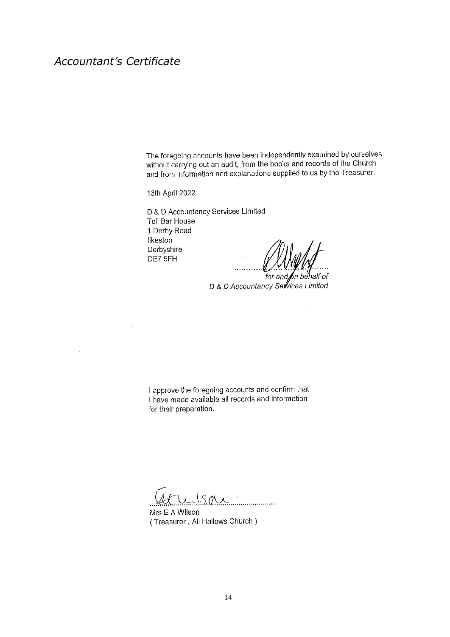### *Accountant's Certificate*

The foregoing accounts have been independently examined by ourselves without carrying out an audit, from the books and records of the Church and from information and explanations supplied to us by the Treasurer.

13th April 2022

D & D Accountancy Services Limited Toll Bar House 1 Derby Road Ilkeston Derbyshire DE7 5FH

 $\frac{1}{2}$ 

for and on behalf of<br>for and on behalf of<br>D & D Accountancy Services Limited

 $\mathcal{A}$ 

I approve the foregoing accounts and confirm that I have made available all records and information for their preparation.

 $\ddot{\phantom{a}}$ 

Mrs E A Wilson (Treasurer, All Hallows Church)

J.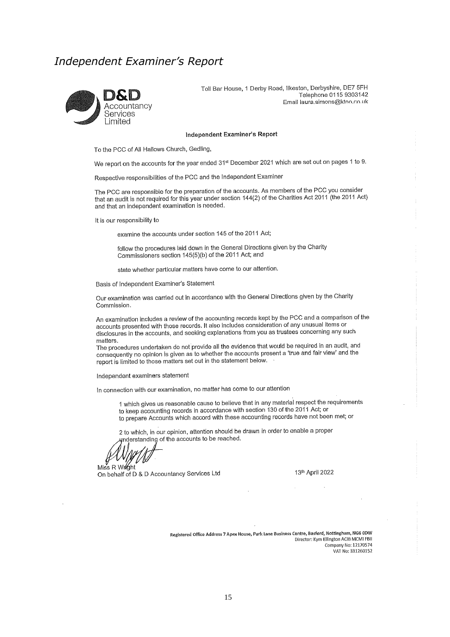#### *Independent Examiner's Report*



Toll Bar House, 1 Derby Road, Ilkeston, Derbyshire, DE7 5FH Telephone 0115 9303142 Email laura.simons@ktoo.co.uk

#### Independent Examiner's Report

To the PCC of All Hallows Church, Gedling,

We report on the accounts for the year ended 31<sup>st</sup> December 2021 which are set out on pages 1 to 9.

Respective responsibilities of the PCC and the Independent Examiner

The PCC are responsible for the preparation of the accounts. As members of the PCC you consider that an audit is not required for this year under section 144(2) of the Charities Act 2011 (the 2011 Act) and that an independent examination is needed.

It is our responsibility to

examine the accounts under section 145 of the 2011 Act;

follow the procedures laid down in the General Directions given by the Charity Commissioners section 145(5)(b) of the 2011 Act; and

state whether particular matters have come to our attention.

Basis of Independent Examiner's Statement

Our examination was carried out in accordance with the General Directions given by the Charity Commission.

An examination includes a review of the accounting records kept by the PCC and a comparison of the accounts presented with those records. It also includes consideration of any unusual items or disclosures in the accounts, and seeking explanations from you as trustees concerning any such disclosures in the accounts, and seeking explanations from you as trustees concerning any such matters.

The procedures undertaken do not provide all the evidence that would be required in an audit, and consequently no opinion is given as to whether the accounts present a 'true and fair view' and the report is limited to those matters set out in the statement below.

Independent examiners statement

In connection with our examination, no matter has come to our attention

1 which gives us reasonable cause to believe that in any material respect the requirements to keep accounting records in accordance with section 130 of the 2011 Act; or to Reep accounting records in decordance with countring records have not been met; or

2 to which, in our opinion, attention should be drawn in order to enable a proper nderstanding of the accounts to be reached.

Miss R Willeht On behalf of D & D Accountancy Services Ltd

13th April 2022

Registered Office Address 7 Apex House, Park Lane Business Centre, Basford, Nottingham, NG6 0DW Director: Kym Ellington ACIB MCMI FBII Company No: 12170574 VAT No: 331260152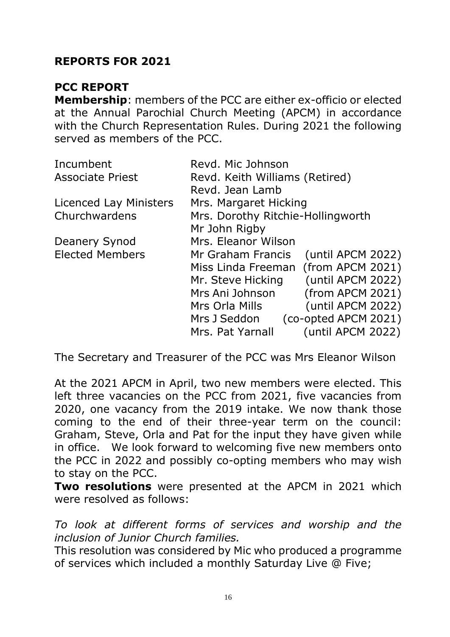## **REPORTS FOR 2021**

#### **PCC REPORT**

**Membership**: members of the PCC are either ex-officio or elected at the Annual Parochial Church Meeting (APCM) in accordance with the Church Representation Rules. During 2021 the following served as members of the PCC.

| Incumbent               | Revd. Mic Johnson                      |
|-------------------------|----------------------------------------|
| <b>Associate Priest</b> | Revd. Keith Williams (Retired)         |
|                         | Revd. Jean Lamb                        |
| Licenced Lay Ministers  | Mrs. Margaret Hicking                  |
| Churchwardens           | Mrs. Dorothy Ritchie-Hollingworth      |
|                         | Mr John Rigby                          |
| <b>Deanery Synod</b>    | Mrs. Eleanor Wilson                    |
| <b>Elected Members</b>  | (until APCM 2022)<br>Mr Graham Francis |
|                         | Miss Linda Freeman (from APCM 2021)    |
|                         | (until APCM 2022)<br>Mr. Steve Hicking |
|                         | (from APCM 2021)<br>Mrs Ani Johnson    |
|                         | (until APCM 2022)<br>Mrs Orla Mills    |
|                         | (co-opted APCM 2021)<br>Mrs J Seddon   |
|                         | (until APCM 2022)<br>Mrs. Pat Yarnall  |

The Secretary and Treasurer of the PCC was Mrs Eleanor Wilson

At the 2021 APCM in April, two new members were elected. This left three vacancies on the PCC from 2021, five vacancies from 2020, one vacancy from the 2019 intake. We now thank those coming to the end of their three-year term on the council: Graham, Steve, Orla and Pat for the input they have given while in office. We look forward to welcoming five new members onto the PCC in 2022 and possibly co-opting members who may wish to stay on the PCC.

**Two resolutions** were presented at the APCM in 2021 which were resolved as follows:

*To look at different forms of services and worship and the inclusion of Junior Church families.*

This resolution was considered by Mic who produced a programme of services which included a monthly Saturday Live @ Five;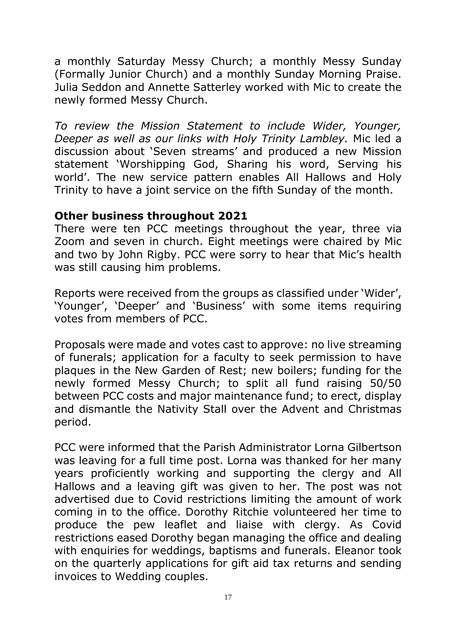a monthly Saturday Messy Church; a monthly Messy Sunday (Formally Junior Church) and a monthly Sunday Morning Praise. Julia Seddon and Annette Satterley worked with Mic to create the newly formed Messy Church.

*To review the Mission Statement to include Wider, Younger, Deeper as well as our links with Holy Trinity Lambley.* Mic led a discussion about 'Seven streams' and produced a new Mission statement 'Worshipping God, Sharing his word, Serving his world'. The new service pattern enables All Hallows and Holy Trinity to have a joint service on the fifth Sunday of the month.

#### **Other business throughout 2021**

There were ten PCC meetings throughout the year, three via Zoom and seven in church. Eight meetings were chaired by Mic and two by John Rigby. PCC were sorry to hear that Mic's health was still causing him problems.

Reports were received from the groups as classified under 'Wider', 'Younger', 'Deeper' and 'Business' with some items requiring votes from members of PCC.

Proposals were made and votes cast to approve: no live streaming of funerals; application for a faculty to seek permission to have plaques in the New Garden of Rest; new boilers; funding for the newly formed Messy Church; to split all fund raising 50/50 between PCC costs and major maintenance fund; to erect, display and dismantle the Nativity Stall over the Advent and Christmas period.

PCC were informed that the Parish Administrator Lorna Gilbertson was leaving for a full time post. Lorna was thanked for her many years proficiently working and supporting the clergy and All Hallows and a leaving gift was given to her. The post was not advertised due to Covid restrictions limiting the amount of work coming in to the office. Dorothy Ritchie volunteered her time to produce the pew leaflet and liaise with clergy. As Covid restrictions eased Dorothy began managing the office and dealing with enquiries for weddings, baptisms and funerals. Eleanor took on the quarterly applications for gift aid tax returns and sending invoices to Wedding couples.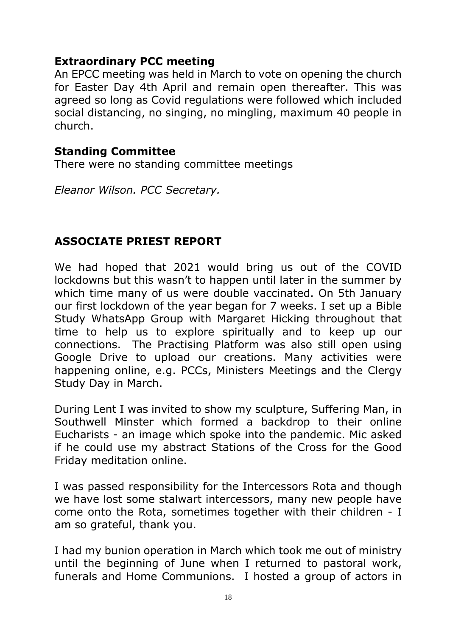### **Extraordinary PCC meeting**

An EPCC meeting was held in March to vote on opening the church for Easter Day 4th April and remain open thereafter. This was agreed so long as Covid regulations were followed which included social distancing, no singing, no mingling, maximum 40 people in church.

#### **Standing Committee**

There were no standing committee meetings

*Eleanor Wilson. PCC Secretary.* 

### **ASSOCIATE PRIEST REPORT**

We had hoped that 2021 would bring us out of the COVID lockdowns but this wasn't to happen until later in the summer by which time many of us were double vaccinated. On 5th January our first lockdown of the year began for 7 weeks. I set up a Bible Study WhatsApp Group with Margaret Hicking throughout that time to help us to explore spiritually and to keep up our connections. The Practising Platform was also still open using Google Drive to upload our creations. Many activities were happening online, e.g. PCCs, Ministers Meetings and the Clergy Study Day in March.

During Lent I was invited to show my sculpture, Suffering Man, in Southwell Minster which formed a backdrop to their online Eucharists - an image which spoke into the pandemic. Mic asked if he could use my abstract Stations of the Cross for the Good Friday meditation online.

I was passed responsibility for the Intercessors Rota and though we have lost some stalwart intercessors, many new people have come onto the Rota, sometimes together with their children - I am so grateful, thank you.

I had my bunion operation in March which took me out of ministry until the beginning of June when I returned to pastoral work, funerals and Home Communions. I hosted a group of actors in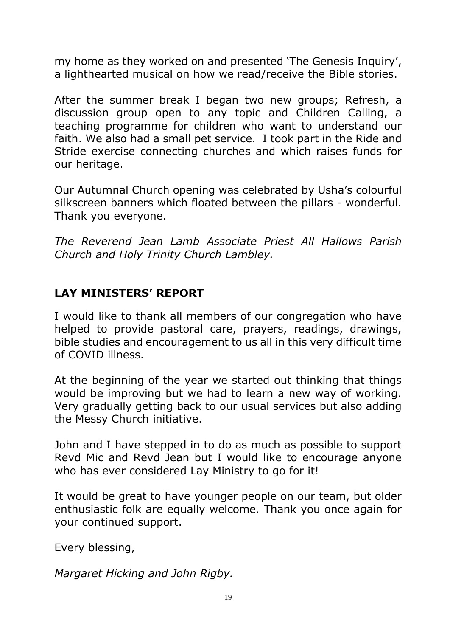my home as they worked on and presented 'The Genesis Inquiry', a lighthearted musical on how we read/receive the Bible stories.

After the summer break I began two new groups; Refresh, a discussion group open to any topic and Children Calling, a teaching programme for children who want to understand our faith. We also had a small pet service. I took part in the Ride and Stride exercise connecting churches and which raises funds for our heritage.

Our Autumnal Church opening was celebrated by Usha's colourful silkscreen banners which floated between the pillars - wonderful. Thank you everyone.

*The Reverend Jean Lamb Associate Priest All Hallows Parish Church and Holy Trinity Church Lambley.*

# **LAY MINISTERS' REPORT**

I would like to thank all members of our congregation who have helped to provide pastoral care, prayers, readings, drawings, bible studies and encouragement to us all in this very difficult time of COVID illness.

At the beginning of the year we started out thinking that things would be improving but we had to learn a new way of working. Very gradually getting back to our usual services but also adding the Messy Church initiative.

John and I have stepped in to do as much as possible to support Revd Mic and Revd Jean but I would like to encourage anyone who has ever considered Lay Ministry to go for it!

It would be great to have younger people on our team, but older enthusiastic folk are equally welcome. Thank you once again for your continued support.

Every blessing,

*Margaret Hicking and John Rigby.*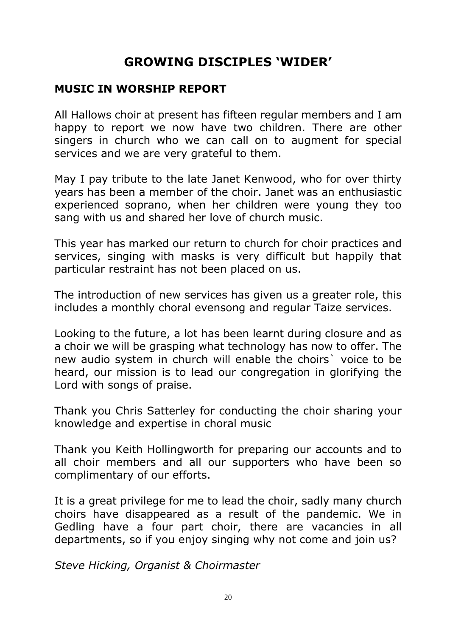# **GROWING DISCIPLES 'WIDER'**

### **MUSIC IN WORSHIP REPORT**

All Hallows choir at present has fifteen regular members and I am happy to report we now have two children. There are other singers in church who we can call on to augment for special services and we are very grateful to them.

May I pay tribute to the late Janet Kenwood, who for over thirty years has been a member of the choir. Janet was an enthusiastic experienced soprano, when her children were young they too sang with us and shared her love of church music.

This year has marked our return to church for choir practices and services, singing with masks is very difficult but happily that particular restraint has not been placed on us.

The introduction of new services has given us a greater role, this includes a monthly choral evensong and regular Taize services.

Looking to the future, a lot has been learnt during closure and as a choir we will be grasping what technology has now to offer. The new audio system in church will enable the choirs` voice to be heard, our mission is to lead our congregation in glorifying the Lord with songs of praise.

Thank you Chris Satterley for conducting the choir sharing your knowledge and expertise in choral music

Thank you Keith Hollingworth for preparing our accounts and to all choir members and all our supporters who have been so complimentary of our efforts.

It is a great privilege for me to lead the choir, sadly many church choirs have disappeared as a result of the pandemic. We in Gedling have a four part choir, there are vacancies in all departments, so if you enjoy singing why not come and join us?

*Steve Hicking, Organist & Choirmaster*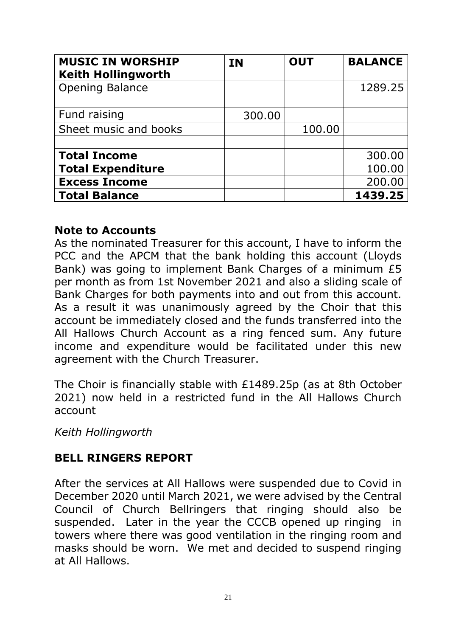| <b>MUSIC IN WORSHIP</b><br><b>Keith Hollingworth</b> | <b>IN</b> | <b>OUT</b> | <b>BALANCE</b> |
|------------------------------------------------------|-----------|------------|----------------|
| <b>Opening Balance</b>                               |           |            | 1289.25        |
| Fund raising                                         | 300.00    |            |                |
| Sheet music and books                                |           | 100.00     |                |
|                                                      |           |            |                |
| <b>Total Income</b>                                  |           |            | 300.00         |
| <b>Total Expenditure</b>                             |           |            | 100.00         |
| <b>Excess Income</b>                                 |           |            | 200.00         |
| <b>Total Balance</b>                                 |           |            | 1439.25        |

#### **Note to Accounts**

As the nominated Treasurer for this account, I have to inform the PCC and the APCM that the bank holding this account (Lloyds Bank) was going to implement Bank Charges of a minimum £5 per month as from 1st November 2021 and also a sliding scale of Bank Charges for both payments into and out from this account. As a result it was unanimously agreed by the Choir that this account be immediately closed and the funds transferred into the All Hallows Church Account as a ring fenced sum. Any future income and expenditure would be facilitated under this new agreement with the Church Treasurer.

The Choir is financially stable with £1489.25p (as at 8th October 2021) now held in a restricted fund in the All Hallows Church account

*Keith Hollingworth*

# **BELL RINGERS REPORT**

After the services at All Hallows were suspended due to Covid in December 2020 until March 2021, we were advised by the Central Council of Church Bellringers that ringing should also be suspended. Later in the year the CCCB opened up ringing in towers where there was good ventilation in the ringing room and masks should be worn. We met and decided to suspend ringing at All Hallows.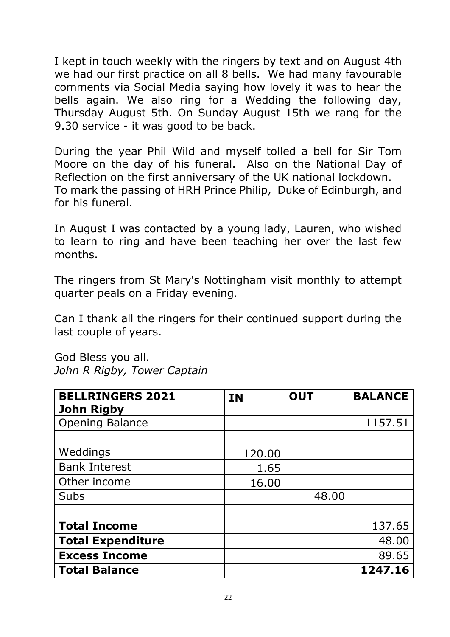I kept in touch weekly with the ringers by text and on August 4th we had our first practice on all 8 bells. We had many favourable comments via Social Media saying how lovely it was to hear the bells again. We also ring for a Wedding the following day, Thursday August 5th. On Sunday August 15th we rang for the 9.30 service - it was good to be back.

During the year Phil Wild and myself tolled a bell for Sir Tom Moore on the day of his funeral. Also on the National Day of Reflection on the first anniversary of the UK national lockdown. To mark the passing of HRH Prince Philip, Duke of Edinburgh, and for his funeral.

In August I was contacted by a young lady, Lauren, who wished to learn to ring and have been teaching her over the last few months.

The ringers from St Mary's Nottingham visit monthly to attempt quarter peals on a Friday evening.

Can I thank all the ringers for their continued support during the last couple of years.

God Bless you all. *John R Rigby, Tower Captain*

| <b>BELLRINGERS 2021</b><br><b>John Rigby</b> | <b>IN</b> | <b>OUT</b> | <b>BALANCE</b> |
|----------------------------------------------|-----------|------------|----------------|
| <b>Opening Balance</b>                       |           |            | 1157.51        |
|                                              |           |            |                |
| Weddings                                     | 120.00    |            |                |
| <b>Bank Interest</b>                         | 1.65      |            |                |
| Other income                                 | 16.00     |            |                |
| <b>Subs</b>                                  |           | 48.00      |                |
|                                              |           |            |                |
| <b>Total Income</b>                          |           |            | 137.65         |
| <b>Total Expenditure</b>                     |           |            | 48.00          |
| <b>Excess Income</b>                         |           |            | 89.65          |
| <b>Total Balance</b>                         |           |            | 1247.16        |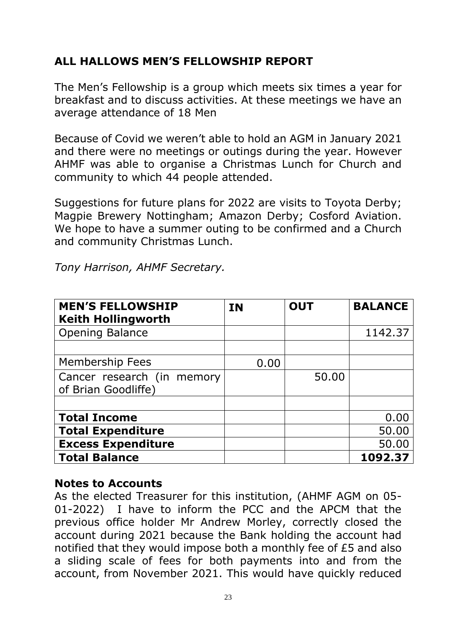# **ALL HALLOWS MEN'S FELLOWSHIP REPORT**

The Men's Fellowship is a group which meets six times a year for breakfast and to discuss activities. At these meetings we have an average attendance of 18 Men

Because of Covid we weren't able to hold an AGM in January 2021 and there were no meetings or outings during the year. However AHMF was able to organise a Christmas Lunch for Church and community to which 44 people attended.

Suggestions for future plans for 2022 are visits to Toyota Derby; Magpie Brewery Nottingham; Amazon Derby; Cosford Aviation. We hope to have a summer outing to be confirmed and a Church and community Christmas Lunch.

*Tony Harrison, AHMF Secretary.*

| <b>MEN'S FELLOWSHIP</b><br><b>Keith Hollingworth</b> | <b>IN</b> | <b>OUT</b> | <b>BALANCE</b> |
|------------------------------------------------------|-----------|------------|----------------|
| <b>Opening Balance</b>                               |           |            | 1142.37        |
|                                                      |           |            |                |
| <b>Membership Fees</b>                               | 0.00      |            |                |
| Cancer research (in memory                           |           | 50.00      |                |
| of Brian Goodliffe)                                  |           |            |                |
|                                                      |           |            |                |
| <b>Total Income</b>                                  |           |            | 0.00           |
| <b>Total Expenditure</b>                             |           |            | 50.00          |
| <b>Excess Expenditure</b>                            |           |            | 50.00          |
| <b>Total Balance</b>                                 |           |            | 1092.37        |

### **Notes to Accounts**

As the elected Treasurer for this institution, (AHMF AGM on 05- 01-2022) I have to inform the PCC and the APCM that the previous office holder Mr Andrew Morley, correctly closed the account during 2021 because the Bank holding the account had notified that they would impose both a monthly fee of £5 and also a sliding scale of fees for both payments into and from the account, from November 2021. This would have quickly reduced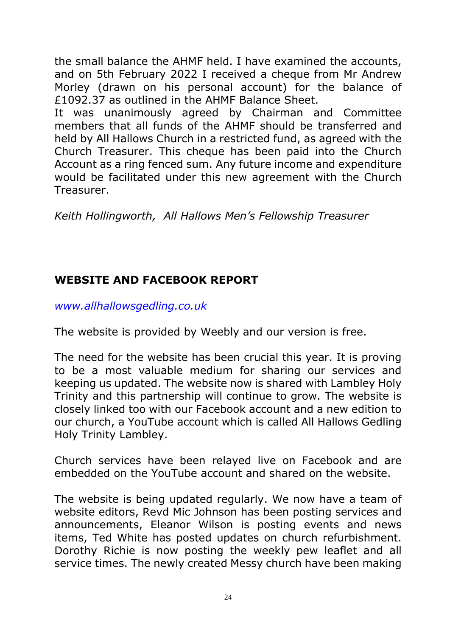the small balance the AHMF held. I have examined the accounts, and on 5th February 2022 I received a cheque from Mr Andrew Morley (drawn on his personal account) for the balance of £1092.37 as outlined in the AHMF Balance Sheet.

It was unanimously agreed by Chairman and Committee members that all funds of the AHMF should be transferred and held by All Hallows Church in a restricted fund, as agreed with the Church Treasurer. This cheque has been paid into the Church Account as a ring fenced sum. Any future income and expenditure would be facilitated under this new agreement with the Church Treasurer.

*Keith Hollingworth, All Hallows Men's Fellowship Treasurer*

# **WEBSITE AND FACEBOOK REPORT**

*[www.allhallowsgedling.co.uk](http://www.allhallowsgedling.co.uk/)*

The website is provided by Weebly and our version is free.

The need for the website has been crucial this year. It is proving to be a most valuable medium for sharing our services and keeping us updated. The website now is shared with Lambley Holy Trinity and this partnership will continue to grow. The website is closely linked too with our Facebook account and a new edition to our church, a YouTube account which is called All Hallows Gedling Holy Trinity Lambley.

Church services have been relayed live on Facebook and are embedded on the YouTube account and shared on the website.

The website is being updated regularly. We now have a team of website editors, Revd Mic Johnson has been posting services and announcements, Eleanor Wilson is posting events and news items, Ted White has posted updates on church refurbishment. Dorothy Richie is now posting the weekly pew leaflet and all service times. The newly created Messy church have been making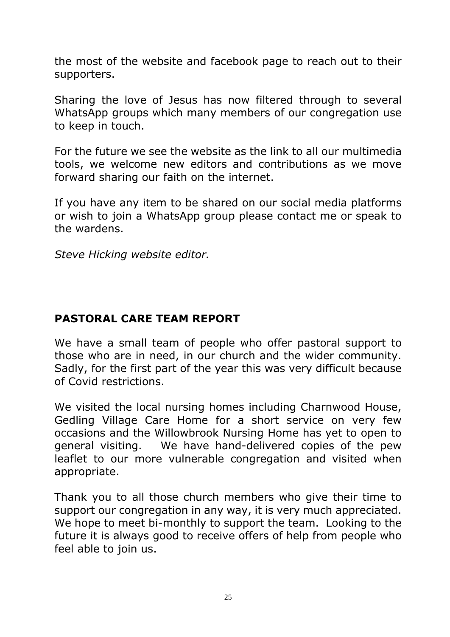the most of the website and facebook page to reach out to their supporters.

Sharing the love of Jesus has now filtered through to several WhatsApp groups which many members of our congregation use to keep in touch.

For the future we see the website as the link to all our multimedia tools, we welcome new editors and contributions as we move forward sharing our faith on the internet.

If you have any item to be shared on our social media platforms or wish to join a WhatsApp group please contact me or speak to the wardens.

*Steve Hicking website editor.*

# **PASTORAL CARE TEAM REPORT**

We have a small team of people who offer pastoral support to those who are in need, in our church and the wider community. Sadly, for the first part of the year this was very difficult because of Covid restrictions.

We visited the local nursing homes including Charnwood House, Gedling Village Care Home for a short service on very few occasions and the Willowbrook Nursing Home has yet to open to general visiting. We have hand-delivered copies of the pew leaflet to our more vulnerable congregation and visited when appropriate.

Thank you to all those church members who give their time to support our congregation in any way, it is very much appreciated. We hope to meet bi-monthly to support the team. Looking to the future it is always good to receive offers of help from people who feel able to join us.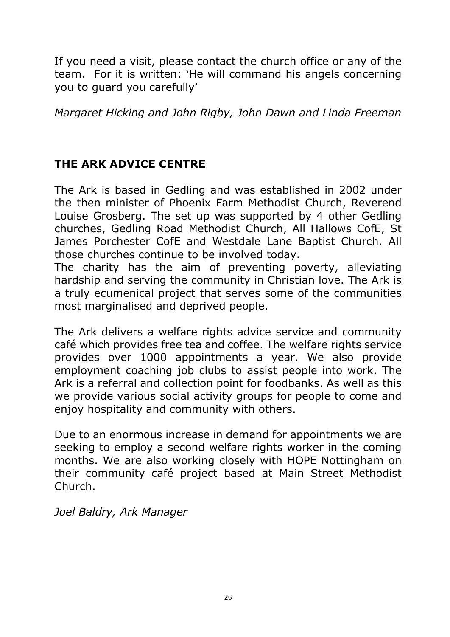If you need a visit, please contact the church office or any of the team. For it is written: 'He will command his angels concerning you to guard you carefully'

*Margaret Hicking and John Rigby, John Dawn and Linda Freeman*

# **THE ARK ADVICE CENTRE**

The Ark is based in Gedling and was established in 2002 under the then minister of Phoenix Farm Methodist Church, Reverend Louise Grosberg. The set up was supported by 4 other Gedling churches, Gedling Road Methodist Church, All Hallows CofE, St James Porchester CofE and Westdale Lane Baptist Church. All those churches continue to be involved today.

The charity has the aim of preventing poverty, alleviating hardship and serving the community in Christian love. The Ark is a truly ecumenical project that serves some of the communities most marginalised and deprived people.

The Ark delivers a welfare rights advice service and community café which provides free tea and coffee. The welfare rights service provides over 1000 appointments a year. We also provide employment coaching job clubs to assist people into work. The Ark is a referral and collection point for foodbanks. As well as this we provide various social activity groups for people to come and enjoy hospitality and community with others.

Due to an enormous increase in demand for appointments we are seeking to employ a second welfare rights worker in the coming months. We are also working closely with HOPE Nottingham on their community café project based at Main Street Methodist Church.

*Joel Baldry, Ark Manager*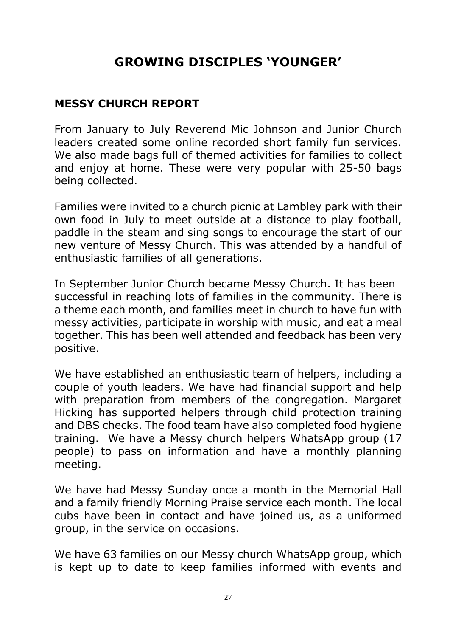# **GROWING DISCIPLES 'YOUNGER'**

# **MESSY CHURCH REPORT**

From January to July Reverend Mic Johnson and Junior Church leaders created some online recorded short family fun services. We also made bags full of themed activities for families to collect and enjoy at home. These were very popular with 25-50 bags being collected.

Families were invited to a church picnic at Lambley park with their own food in July to meet outside at a distance to play football, paddle in the steam and sing songs to encourage the start of our new venture of Messy Church. This was attended by a handful of enthusiastic families of all generations.

In September Junior Church became Messy Church. It has been successful in reaching lots of families in the community. There is a theme each month, and families meet in church to have fun with messy activities, participate in worship with music, and eat a meal together. This has been well attended and feedback has been very positive.

We have established an enthusiastic team of helpers, including a couple of youth leaders. We have had financial support and help with preparation from members of the congregation. Margaret Hicking has supported helpers through child protection training and DBS checks. The food team have also completed food hygiene training. We have a Messy church helpers WhatsApp group (17 people) to pass on information and have a monthly planning meeting.

We have had Messy Sunday once a month in the Memorial Hall and a family friendly Morning Praise service each month. The local cubs have been in contact and have joined us, as a uniformed group, in the service on occasions.

We have 63 families on our Messy church WhatsApp group, which is kept up to date to keep families informed with events and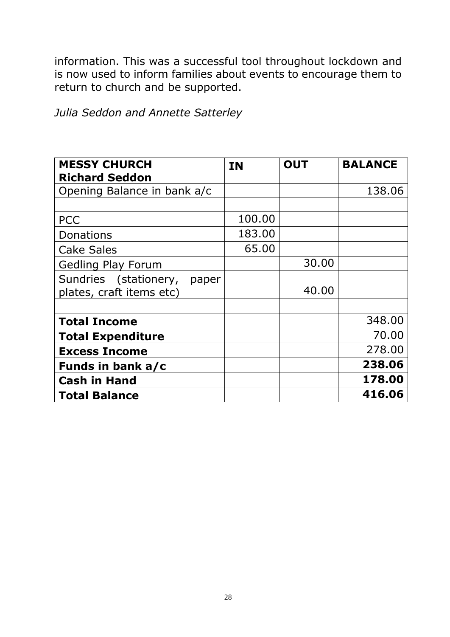information. This was a successful tool throughout lockdown and is now used to inform families about events to encourage them to return to church and be supported.

*Julia Seddon and Annette Satterley* 

| <b>MESSY CHURCH</b>            | <b>IN</b> | <b>OUT</b> | <b>BALANCE</b> |
|--------------------------------|-----------|------------|----------------|
| <b>Richard Seddon</b>          |           |            |                |
| Opening Balance in bank a/c    |           |            | 138.06         |
|                                |           |            |                |
| <b>PCC</b>                     | 100.00    |            |                |
| Donations                      | 183.00    |            |                |
| <b>Cake Sales</b>              | 65.00     |            |                |
| <b>Gedling Play Forum</b>      |           | 30.00      |                |
| Sundries (stationery,<br>paper |           |            |                |
| plates, craft items etc)       |           | 40.00      |                |
|                                |           |            |                |
| <b>Total Income</b>            |           |            | 348.00         |
| <b>Total Expenditure</b>       |           |            | 70.00          |
| <b>Excess Income</b>           |           |            | 278.00         |
| Funds in bank a/c              |           |            | 238.06         |
| <b>Cash in Hand</b>            |           |            | 178.00         |
| <b>Total Balance</b>           |           |            | 416.06         |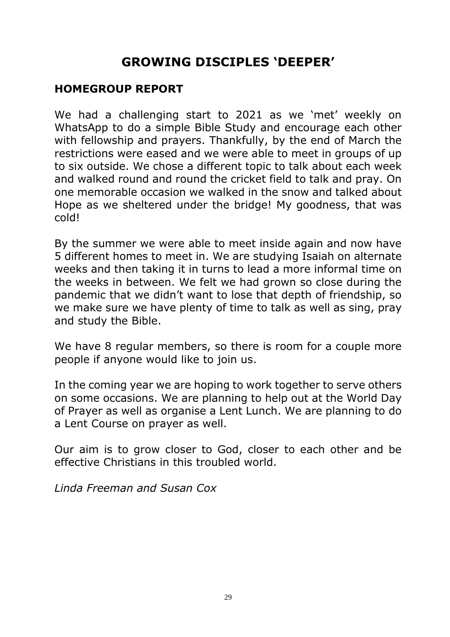# **GROWING DISCIPLES 'DEEPER'**

## **HOMEGROUP REPORT**

We had a challenging start to 2021 as we 'met' weekly on WhatsApp to do a simple Bible Study and encourage each other with fellowship and prayers. Thankfully, by the end of March the restrictions were eased and we were able to meet in groups of up to six outside. We chose a different topic to talk about each week and walked round and round the cricket field to talk and pray. On one memorable occasion we walked in the snow and talked about Hope as we sheltered under the bridge! My goodness, that was cold!

By the summer we were able to meet inside again and now have 5 different homes to meet in. We are studying Isaiah on alternate weeks and then taking it in turns to lead a more informal time on the weeks in between. We felt we had grown so close during the pandemic that we didn't want to lose that depth of friendship, so we make sure we have plenty of time to talk as well as sing, pray and study the Bible.

We have 8 regular members, so there is room for a couple more people if anyone would like to join us.

In the coming year we are hoping to work together to serve others on some occasions. We are planning to help out at the World Day of Prayer as well as organise a Lent Lunch. We are planning to do a Lent Course on prayer as well.

Our aim is to grow closer to God, closer to each other and be effective Christians in this troubled world.

*Linda Freeman and Susan Cox*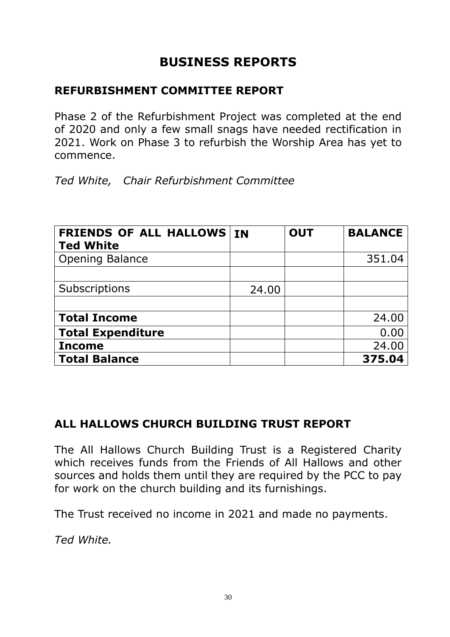# **BUSINESS REPORTS**

# **REFURBISHMENT COMMITTEE REPORT**

Phase 2 of the Refurbishment Project was completed at the end of 2020 and only a few small snags have needed rectification in 2021. Work on Phase 3 to refurbish the Worship Area has yet to commence.

*Ted White, Chair Refurbishment Committee*

| <b>FRIENDS OF ALL HALLOWS IN</b><br><b>Ted White</b> |       | <b>OUT</b> | <b>BALANCE</b> |
|------------------------------------------------------|-------|------------|----------------|
| <b>Opening Balance</b>                               |       |            | 351.04         |
|                                                      |       |            |                |
| Subscriptions                                        | 24.00 |            |                |
|                                                      |       |            |                |
| <b>Total Income</b>                                  |       |            | 24.00          |
| <b>Total Expenditure</b>                             |       |            | 0.00           |
| <b>Income</b>                                        |       |            | 24.00          |
| <b>Total Balance</b>                                 |       |            | 375.04         |

# **ALL HALLOWS CHURCH BUILDING TRUST REPORT**

The All Hallows Church Building Trust is a Registered Charity which receives funds from the Friends of All Hallows and other sources and holds them until they are required by the PCC to pay for work on the church building and its furnishings.

The Trust received no income in 2021 and made no payments.

*Ted White.*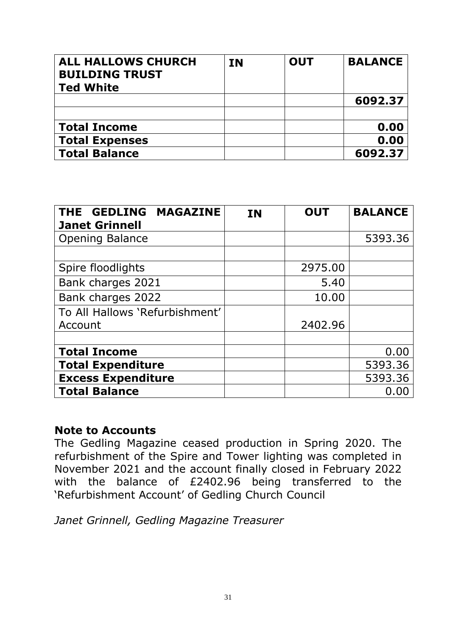| <b>ALL HALLOWS CHURCH</b><br><b>BUILDING TRUST</b><br><b>Ted White</b> | <b>IN</b> | <b>OUT</b> | <b>BALANCE</b> |
|------------------------------------------------------------------------|-----------|------------|----------------|
|                                                                        |           |            | 6092.37        |
|                                                                        |           |            |                |
| <b>Total Income</b>                                                    |           |            | 0.00           |
| <b>Total Expenses</b>                                                  |           |            | 0.00           |
| <b>Total Balance</b>                                                   |           |            | 6092.37        |

| <b>MAGAZINE</b><br>THE GEDLING<br><b>Janet Grinnell</b> | <b>IN</b> | <b>OUT</b> | <b>BALANCE</b> |
|---------------------------------------------------------|-----------|------------|----------------|
| <b>Opening Balance</b>                                  |           |            | 5393.36        |
|                                                         |           |            |                |
| Spire floodlights                                       |           | 2975.00    |                |
| Bank charges 2021                                       |           | 5.40       |                |
| Bank charges 2022                                       |           | 10.00      |                |
| To All Hallows 'Refurbishment'                          |           |            |                |
| Account                                                 |           | 2402.96    |                |
|                                                         |           |            |                |
| <b>Total Income</b>                                     |           |            | 0.00           |
| <b>Total Expenditure</b>                                |           |            | 5393.36        |
| <b>Excess Expenditure</b>                               |           |            | 5393.36        |
| <b>Total Balance</b>                                    |           |            | 0.00           |

#### **Note to Accounts**

The Gedling Magazine ceased production in Spring 2020. The refurbishment of the Spire and Tower lighting was completed in November 2021 and the account finally closed in February 2022 with the balance of £2402.96 being transferred to the 'Refurbishment Account' of Gedling Church Council

*Janet Grinnell, Gedling Magazine Treasurer*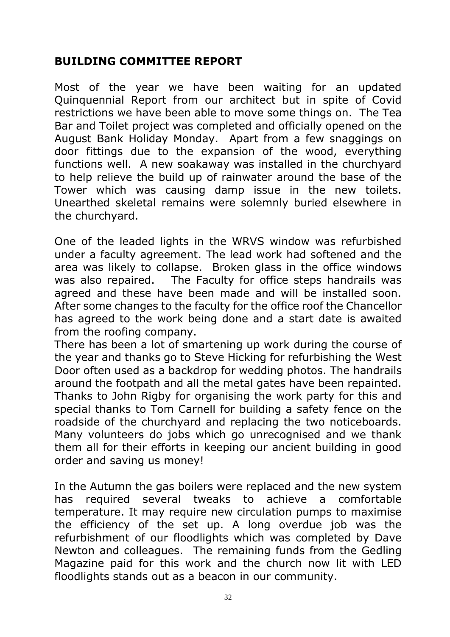# **BUILDING COMMITTEE REPORT**

Most of the year we have been waiting for an updated Quinquennial Report from our architect but in spite of Covid restrictions we have been able to move some things on. The Tea Bar and Toilet project was completed and officially opened on the August Bank Holiday Monday. Apart from a few snaggings on door fittings due to the expansion of the wood, everything functions well. A new soakaway was installed in the churchyard to help relieve the build up of rainwater around the base of the Tower which was causing damp issue in the new toilets. Unearthed skeletal remains were solemnly buried elsewhere in the churchyard.

One of the leaded lights in the WRVS window was refurbished under a faculty agreement. The lead work had softened and the area was likely to collapse. Broken glass in the office windows was also repaired. The Faculty for office steps handrails was agreed and these have been made and will be installed soon. After some changes to the faculty for the office roof the Chancellor has agreed to the work being done and a start date is awaited from the roofing company.

There has been a lot of smartening up work during the course of the year and thanks go to Steve Hicking for refurbishing the West Door often used as a backdrop for wedding photos. The handrails around the footpath and all the metal gates have been repainted. Thanks to John Rigby for organising the work party for this and special thanks to Tom Carnell for building a safety fence on the roadside of the churchyard and replacing the two noticeboards. Many volunteers do jobs which go unrecognised and we thank them all for their efforts in keeping our ancient building in good order and saving us money!

In the Autumn the gas boilers were replaced and the new system has required several tweaks to achieve a comfortable temperature. It may require new circulation pumps to maximise the efficiency of the set up. A long overdue job was the refurbishment of our floodlights which was completed by Dave Newton and colleagues. The remaining funds from the Gedling Magazine paid for this work and the church now lit with LED floodlights stands out as a beacon in our community.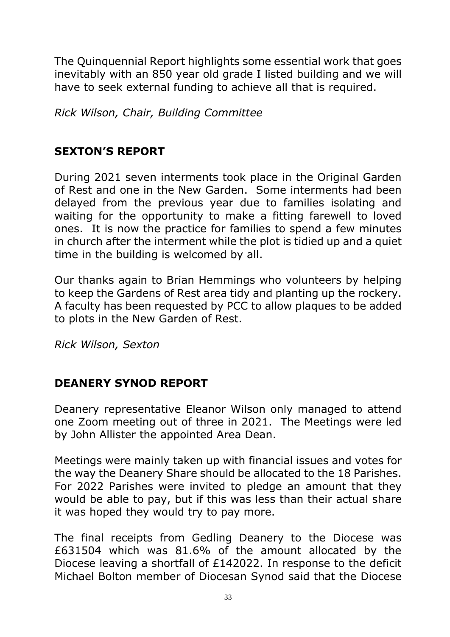The Quinquennial Report highlights some essential work that goes inevitably with an 850 year old grade I listed building and we will have to seek external funding to achieve all that is required.

*Rick Wilson, Chair, Building Committee* 

# **SEXTON'S REPORT**

During 2021 seven interments took place in the Original Garden of Rest and one in the New Garden. Some interments had been delayed from the previous year due to families isolating and waiting for the opportunity to make a fitting farewell to loved ones. It is now the practice for families to spend a few minutes in church after the interment while the plot is tidied up and a quiet time in the building is welcomed by all.

Our thanks again to Brian Hemmings who volunteers by helping to keep the Gardens of Rest area tidy and planting up the rockery. A faculty has been requested by PCC to allow plaques to be added to plots in the New Garden of Rest.

*Rick Wilson, Sexton*

# **DEANERY SYNOD REPORT**

Deanery representative Eleanor Wilson only managed to attend one Zoom meeting out of three in 2021. The Meetings were led by John Allister the appointed Area Dean.

Meetings were mainly taken up with financial issues and votes for the way the Deanery Share should be allocated to the 18 Parishes. For 2022 Parishes were invited to pledge an amount that they would be able to pay, but if this was less than their actual share it was hoped they would try to pay more.

The final receipts from Gedling Deanery to the Diocese was £631504 which was 81.6% of the amount allocated by the Diocese leaving a shortfall of £142022. In response to the deficit Michael Bolton member of Diocesan Synod said that the Diocese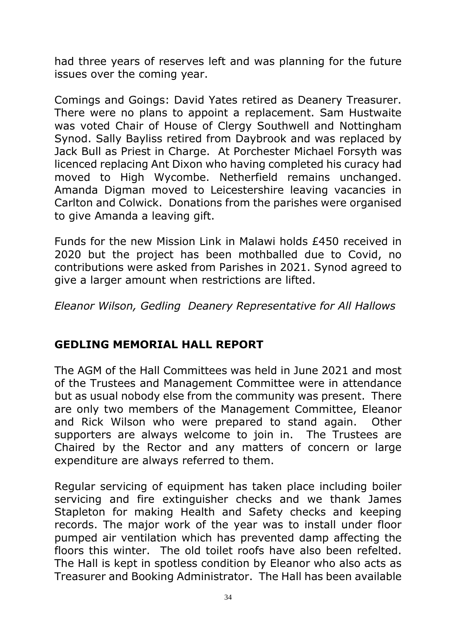had three years of reserves left and was planning for the future issues over the coming year.

Comings and Goings: David Yates retired as Deanery Treasurer. There were no plans to appoint a replacement. Sam Hustwaite was voted Chair of House of Clergy Southwell and Nottingham Synod. Sally Bayliss retired from Daybrook and was replaced by Jack Bull as Priest in Charge. At Porchester Michael Forsyth was licenced replacing Ant Dixon who having completed his curacy had moved to High Wycombe. Netherfield remains unchanged. Amanda Digman moved to Leicestershire leaving vacancies in Carlton and Colwick. Donations from the parishes were organised to give Amanda a leaving gift.

Funds for the new Mission Link in Malawi holds £450 received in 2020 but the project has been mothballed due to Covid, no contributions were asked from Parishes in 2021. Synod agreed to give a larger amount when restrictions are lifted.

*Eleanor Wilson, Gedling Deanery Representative for All Hallows*

# **GEDLING MEMORIAL HALL REPORT**

The AGM of the Hall Committees was held in June 2021 and most of the Trustees and Management Committee were in attendance but as usual nobody else from the community was present. There are only two members of the Management Committee, Eleanor and Rick Wilson who were prepared to stand again. Other supporters are always welcome to join in. The Trustees are Chaired by the Rector and any matters of concern or large expenditure are always referred to them.

Regular servicing of equipment has taken place including boiler servicing and fire extinguisher checks and we thank James Stapleton for making Health and Safety checks and keeping records. The major work of the year was to install under floor pumped air ventilation which has prevented damp affecting the floors this winter. The old toilet roofs have also been refelted. The Hall is kept in spotless condition by Eleanor who also acts as Treasurer and Booking Administrator. The Hall has been available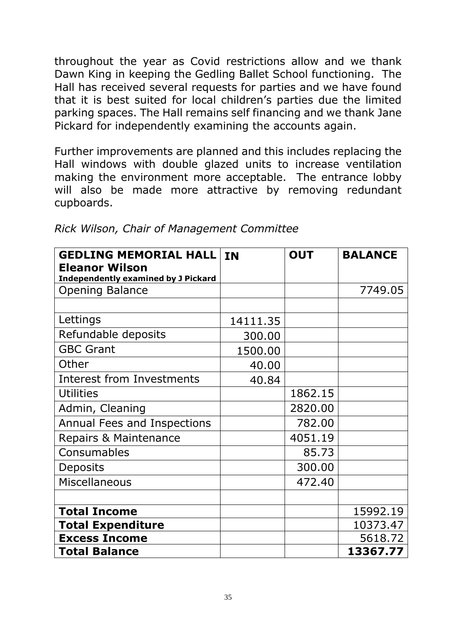throughout the year as Covid restrictions allow and we thank Dawn King in keeping the Gedling Ballet School functioning. The Hall has received several requests for parties and we have found that it is best suited for local children's parties due the limited parking spaces. The Hall remains self financing and we thank Jane Pickard for independently examining the accounts again.

Further improvements are planned and this includes replacing the Hall windows with double glazed units to increase ventilation making the environment more acceptable. The entrance lobby will also be made more attractive by removing redundant cupboards.

| <b>GEDLING MEMORIAL HALL</b>               | <b>IN</b> | <b>OUT</b> | <b>BALANCE</b> |
|--------------------------------------------|-----------|------------|----------------|
| <b>Eleanor Wilson</b>                      |           |            |                |
| <b>Independently examined by J Pickard</b> |           |            |                |
| <b>Opening Balance</b>                     |           |            | 7749.05        |
|                                            |           |            |                |
| Lettings                                   | 14111.35  |            |                |
| Refundable deposits                        | 300.00    |            |                |
| <b>GBC Grant</b>                           | 1500.00   |            |                |
| Other                                      | 40.00     |            |                |
| <b>Interest from Investments</b>           | 40.84     |            |                |
| <b>Utilities</b>                           |           | 1862.15    |                |
| Admin, Cleaning                            |           | 2820.00    |                |
| Annual Fees and Inspections                |           | 782.00     |                |
| Repairs & Maintenance                      |           | 4051.19    |                |
| Consumables                                |           | 85.73      |                |
| <b>Deposits</b>                            |           | 300.00     |                |
| <b>Miscellaneous</b>                       |           | 472.40     |                |
|                                            |           |            |                |
| <b>Total Income</b>                        |           |            | 15992.19       |
| <b>Total Expenditure</b>                   |           |            | 10373.47       |
| <b>Excess Income</b>                       |           |            | 5618.72        |
| <b>Total Balance</b>                       |           |            | 13367.77       |

*Rick Wilson, Chair of Management Committee*